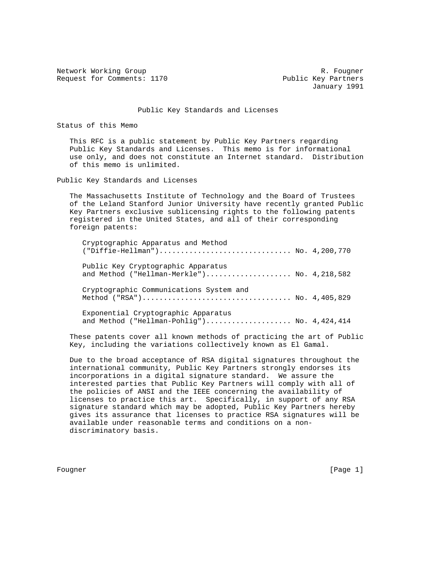Network Working Group and Monthlythe Communications of the R. Fougner Request for Comments: 1170 Public Key Partners

January 1991

## Public Key Standards and Licenses

Status of this Memo

 This RFC is a public statement by Public Key Partners regarding Public Key Standards and Licenses. This memo is for informational use only, and does not constitute an Internet standard. Distribution of this memo is unlimited.

Public Key Standards and Licenses

 The Massachusetts Institute of Technology and the Board of Trustees of the Leland Stanford Junior University have recently granted Public Key Partners exclusive sublicensing rights to the following patents registered in the United States, and all of their corresponding foreign patents:

| Cryptographic Apparatus and Method                                                 |  |
|------------------------------------------------------------------------------------|--|
| Public Key Cryptographic Apparatus<br>and Method ("Hellman-Merkle") No. 4,218,582  |  |
| Cryptographic Communications System and                                            |  |
| Exponential Cryptographic Apparatus<br>and Method ("Hellman-Pohlig") No. 4,424,414 |  |

 These patents cover all known methods of practicing the art of Public Key, including the variations collectively known as El Gamal.

 Due to the broad acceptance of RSA digital signatures throughout the international community, Public Key Partners strongly endorses its incorporations in a digital signature standard. We assure the interested parties that Public Key Partners will comply with all of the policies of ANSI and the IEEE concerning the availability of licenses to practice this art. Specifically, in support of any RSA signature standard which may be adopted, Public Key Partners hereby gives its assurance that licenses to practice RSA signatures will be available under reasonable terms and conditions on a non discriminatory basis.

Fougner [Page 1]